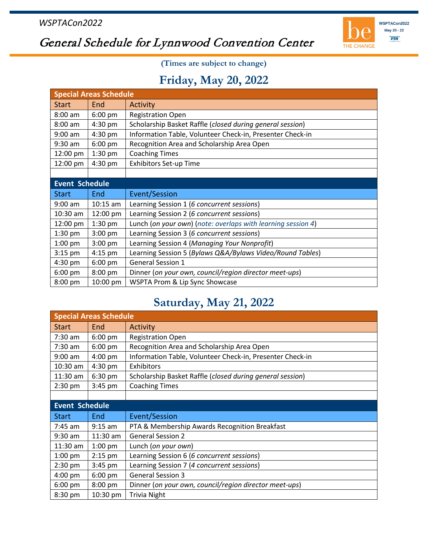

## General Schedule for Lynnwood Convention Center

**(Times are subject to change)**

## **Friday, May 20, 2022**

| <b>Special Areas Schedule</b> |            |                                                              |  |  |
|-------------------------------|------------|--------------------------------------------------------------|--|--|
| <b>Start</b>                  | End        | Activity                                                     |  |  |
| $8:00$ am                     | 6:00 pm    | <b>Registration Open</b>                                     |  |  |
| $8:00$ am                     | 4:30 pm    | Scholarship Basket Raffle (closed during general session)    |  |  |
| $9:00$ am                     | 4:30 pm    | Information Table, Volunteer Check-in, Presenter Check-in    |  |  |
| 9:30 am                       | 6:00 pm    | Recognition Area and Scholarship Area Open                   |  |  |
| 12:00 pm                      | $1:30$ pm  | <b>Coaching Times</b>                                        |  |  |
| 12:00 pm                      | $4:30$ pm  | <b>Exhibitors Set-up Time</b>                                |  |  |
|                               |            |                                                              |  |  |
| <b>Event Schedule</b>         |            |                                                              |  |  |
|                               |            |                                                              |  |  |
| <b>Start</b>                  | End        | Event/Session                                                |  |  |
| $9:00$ am                     | $10:15$ am | Learning Session 1 (6 concurrent sessions)                   |  |  |
| $10:30$ am                    | 12:00 pm   | Learning Session 2 (6 concurrent sessions)                   |  |  |
| 12:00 pm                      | 1:30 pm    | Lunch (on your own) (note: overlaps with learning session 4) |  |  |
| 1:30 pm                       | 3:00 pm    | Learning Session 3 (6 concurrent sessions)                   |  |  |
| $1:00$ pm                     | $3:00$ pm  | Learning Session 4 (Managing Your Nonprofit)                 |  |  |
| $3:15$ pm                     | 4:15 pm    | Learning Session 5 (Bylaws Q&A/Bylaws Video/Round Tables)    |  |  |
| 4:30 pm                       | 6:00 pm    | <b>General Session 1</b>                                     |  |  |
| $6:00$ pm                     | 8:00 pm    | Dinner (on your own, council/region director meet-ups)       |  |  |

## **Saturday, May 21, 2022**

| <b>Special Areas Schedule</b> |            |                                                           |  |  |
|-------------------------------|------------|-----------------------------------------------------------|--|--|
| <b>Start</b>                  | End        | Activity                                                  |  |  |
| $7:30$ am                     | 6:00 pm    | <b>Registration Open</b>                                  |  |  |
| $7:30$ am                     | $6:00$ pm  | Recognition Area and Scholarship Area Open                |  |  |
| $9:00$ am                     | 4:00 pm    | Information Table, Volunteer Check-in, Presenter Check-in |  |  |
| $10:30$ am                    | 4:30 pm    | Exhibitors                                                |  |  |
| $11:30$ am                    | 6:30 pm    | Scholarship Basket Raffle (closed during general session) |  |  |
| $2:30$ pm                     | $3:45$ pm  | <b>Coaching Times</b>                                     |  |  |
|                               |            |                                                           |  |  |
| <b>Event Schedule</b>         |            |                                                           |  |  |
| <b>Start</b>                  | End        | Event/Session                                             |  |  |
| $7:45$ am                     | $9:15$ am  | PTA & Membership Awards Recognition Breakfast             |  |  |
| $9:30$ am                     | $11:30$ am | <b>General Session 2</b>                                  |  |  |
| $11:30$ am                    | $1:00$ pm  | Lunch (on your own)                                       |  |  |
| $1:00$ pm                     | $2:15$ pm  | Learning Session 6 (6 concurrent sessions)                |  |  |
| $2:30$ pm                     | $3:45$ pm  | Learning Session 7 (4 concurrent sessions)                |  |  |
| $4:00$ pm                     | $6:00$ pm  | <b>General Session 3</b>                                  |  |  |
| $6:00$ pm                     | 8:00 pm    | Dinner (on your own, council/region director meet-ups)    |  |  |
| 8:30 pm                       | 10:30 pm   | <b>Trivia Night</b>                                       |  |  |